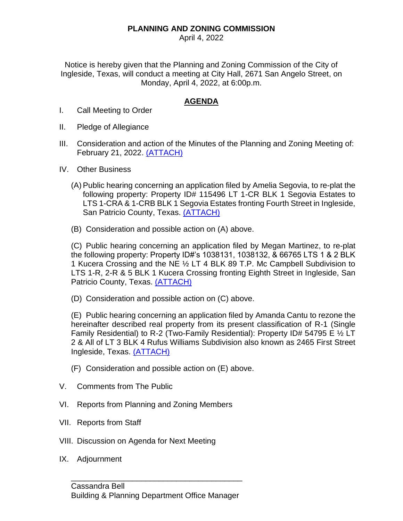## **PLANNING AND ZONING COMMISSION**

April 4, 2022

Notice is hereby given that the Planning and Zoning Commission of the City of Ingleside, Texas, will conduct a meeting at City Hall, 2671 San Angelo Street, on Monday, April 4, 2022, at 6:00p.m.

## **AGENDA**

- I. Call Meeting to Order
- II. Pledge of Allegiance
- III. Consideration and action of the Minutes of the Planning and Zoning Meeting of: February 21, 2022. [\(ATTACH\)](https://itx.nyc3.cdn.digitaloceanspaces.com/wp-content/uploads/2022/04/III.pdf)
- IV. Other Business
	- (A) Public hearing concerning an application filed by Amelia Segovia, to re-plat the following property: Property ID# 115496 LT 1-CR BLK 1 Segovia Estates to LTS 1-CRA & 1-CRB BLK 1 Segovia Estates fronting Fourth Street in Ingleside, San Patricio County, Texas. [\(ATTACH\)](https://itx.nyc3.cdn.digitaloceanspaces.com/wp-content/uploads/2022/04/IVA.pdf)
	- (B) Consideration and possible action on (A) above.

(C) Public hearing concerning an application filed by Megan Martinez, to re-plat the following property: Property ID#'s 1038131, 1038132, & 66765 LTS 1 & 2 BLK 1 Kucera Crossing and the NE ½ LT 4 BLK 89 T.P. Mc Campbell Subdivision to LTS 1-R, 2-R & 5 BLK 1 Kucera Crossing fronting Eighth Street in Ingleside, San Patricio County, Texas. [\(ATTACH\)](https://itx.nyc3.cdn.digitaloceanspaces.com/wp-content/uploads/2022/04/IVC.pdf)

(D) Consideration and possible action on (C) above.

(E) Public hearing concerning an application filed by Amanda Cantu to rezone the hereinafter described real property from its present classification of R-1 (Single Family Residential) to R-2 (Two-Family Residential): Property ID# 54795 E ½ LT 2 & All of LT 3 BLK 4 Rufus Williams Subdivision also known as 2465 First Street Ingleside, Texas. [\(ATTACH\)](https://itx.nyc3.cdn.digitaloceanspaces.com/wp-content/uploads/2022/04/IVE.pdf)

- (F) Consideration and possible action on (E) above.
- V. Comments from The Public
- VI. Reports from Planning and Zoning Members
- VII. Reports from Staff
- VIII. Discussion on Agenda for Next Meeting
- IX. Adjournment

\_\_\_\_\_\_\_\_\_\_\_\_\_\_\_\_\_\_\_\_\_\_\_\_\_\_\_\_\_\_\_\_\_\_\_\_\_\_\_